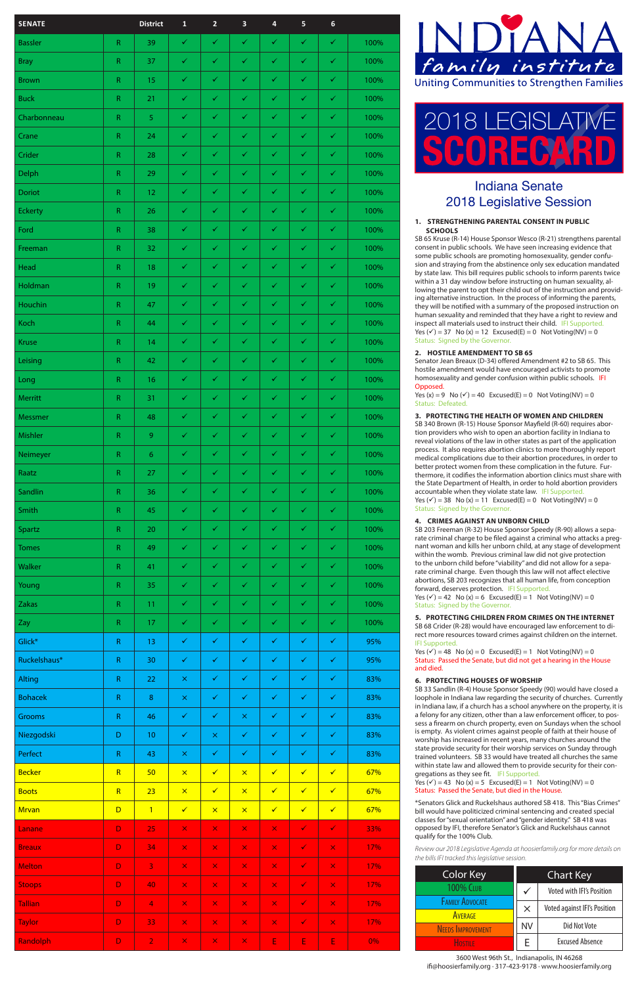#### **1. STRENGTHENING PARENTAL CONSENT IN PUBLIC SCHOOLS**

SB 65 Kruse (R-14) House Sponsor Wesco (R-21) strengthens parental consent in public schools. We have seen increasing evidence that some public schools are promoting homosexuality, gender confu sion and straying from the abstinence only sex education mandated by state law. This bill requires public schools to inform parents twice within a 31 day window before instructing on human sexuality, al lowing the parent to opt their child out of the instruction and provid ing alternative instruction. In the process of informing the parents, they will be notified with a summary of the proposed instruction on human sexuality and reminded that they have a right to review and inspect all materials used to instruct their child. IFI Supported. Yes  $(v') = 37$  No  $(x) = 12$  Excused(E) = 0 Not Voting(NV) = 0 Status: Signed by the Governor.

Yes  $(x) = 9$  No  $(\checkmark) = 40$  Excused(E) = 0 Not Voting(NV) = 0 Status: Defeated.

## **2. HOSTILE AMENDMENT TO SB 65**

SB 203 Freeman (R-32) House Sponsor Speedy (R-90) allows a sepa rate criminal charge to be filed against a criminal who attacks a preg nant woman and kills her unborn child, at any stage of development within the womb. Previous criminal law did not give protection to the unborn child before "viability" and did not allow for a sepa rate criminal charge. Even though this law will not affect elective abortions, SB 203 recognizes that all human life, from conception forward, deserves protection. IFI Supported Yes  $(v') = 42$  No  $(x) = 6$  Excused(E) = 1 Not Voting(NV) = 0

Senator Jean Breaux (D-34) offered Amendment #2 to SB 65. This hostile amendment would have encouraged activists to promote homosexuality and gender confusion within public schools. IFI Opposed.

### **3. PROTECTING THE HEALTH OF WOMEN AND CHILDREN**

SB 68 Crider (R-28) would have encouraged law enforcement to direct more resources toward crimes against children on the internet. IFI Supported.

Yes  $(v') = 48$  No  $(x) = 0$  Excused(E) = 1 Not Voting(NV) = 0 Status: Passed the Senate, but did not get a hearing in the House and died.

SB 33 Sandlin (R-4) House Sponsor Speedy (90) would have closed a loophole in Indiana law regarding the security of churches. Currently in Indiana law, if a church has a school anywhere on the property, it is a felony for any citizen, other than a law enforcement officer, to pos sess a firearm on church property, even on Sundays when the school is empty. As violent crimes against people of faith at their house of worship has increased in recent years, many churches around the state provide security for their worship services on Sunday through trained volunteers. SB 33 would have treated all churches the same within state law and allowed them to provide security for their congregations as they see fit. IFI Supported. Yes  $(v') = 43$  No  $(x) = 5$  Excused(E) = 1 Not Voting(NV) = 0

SB 340 Brown (R-15) House Sponsor Mayfield (R-60) requires abor tion providers who wish to open an abortion facility in Indiana to reveal violations of the law in other states as part of the application process. It also requires abortion clinics to more thoroughly report medical complications due to their abortion procedures, in order to better protect women from these complication in the future. Fur thermore, it codifies the information abortion clinics must share with the State Department of Health, in order to hold abortion providers accountable when they violate state law. IFI Supported Yes  $(v') = 38$  No  $(x) = 11$  Excused(E) = 0 Not Voting(NV) = 0 Status: Signed by the Governor.

### **4. CRIMES AGAINST AN UNBORN CHILD**

Status: Signed by the Governor.

# **5. PROTECTING CHILDREN FROM CRIMES ON THE INTERNET**

### **6. PROTECTING HOUSES OF WORSHIP**

Status: Passed the Senate, but died in the House.

\*Senators Glick and Ruckelshaus authored SB 418. This "Bias Crimes" bill would have politicized criminal sentencing and created special classes for "sexual orientation" and "gender identity." SB 418 was opposed by IFI, therefore Senator's Glick and Ruckelshaus cannot qualify for the 100% Club.

# Indiana Senate 2018 Legislative Session



| <b>SENATE</b>  |                         | <b>District</b>  | $\mathbf 1$    | $\overline{2}$ | $\overline{\mathbf{3}}$ | $\overline{\mathbf{4}}$ | $\overline{\mathbf{5}}$ | $\boldsymbol{6}$     |      |
|----------------|-------------------------|------------------|----------------|----------------|-------------------------|-------------------------|-------------------------|----------------------|------|
| <b>Bassler</b> | ${\sf R}$               | 39               | $\checkmark$   | $\checkmark$   | $\checkmark$            | $\checkmark$            | $\checkmark$            | $\checkmark$         | 100% |
| <b>Bray</b>    | ${\sf R}$               | 37               | $\checkmark$   | $\checkmark$   | $\checkmark$            | $\checkmark$            | $\checkmark$            | $\checkmark$         | 100% |
| <b>Brown</b>   | ${\sf R}$               | 15               | $\checkmark$   | $\checkmark$   | $\checkmark$            | $\checkmark$            | ✓                       | $\checkmark$         | 100% |
| <b>Buck</b>    | ${\sf R}$               | 21               | $\checkmark$   | $\checkmark$   | $\checkmark$            | $\checkmark$            | ✓                       | $\checkmark$         | 100% |
| Charbonneau    | ${\sf R}$               | $\sqrt{5}$       | $\checkmark$   | $\checkmark$   | ✓                       | ✓                       | ✓                       | ✓                    | 100% |
| Crane          | ${\sf R}$               | 24               | $\checkmark$   | $\checkmark$   | $\checkmark$            | $\checkmark$            | $\checkmark$            | $\checkmark$         | 100% |
| Crider         | ${\sf R}$               | 28               | $\checkmark$   | $\checkmark$   | ✓                       | $\checkmark$            | ✓                       | $\checkmark$         | 100% |
| Delph          | ${\sf R}$               | 29               | $\checkmark$   | $\checkmark$   | $\checkmark$            | $\checkmark$            | ✓                       | $\checkmark$         | 100% |
| <b>Doriot</b>  | ${\sf R}$               | 12               | $\checkmark$   | $\checkmark$   | $\checkmark$            | $\checkmark$            | $\checkmark$            | $\checkmark$         | 100% |
| <b>Eckerty</b> | ${\sf R}$               | 26               | $\checkmark$   | $\checkmark$   | $\checkmark$            | $\checkmark$            | $\checkmark$            | $\checkmark$         | 100% |
| Ford           | ${\sf R}$               | 38               | $\checkmark$   | $\checkmark$   | $\checkmark$            | $\checkmark$            | ✓                       | $\checkmark$         | 100% |
| Freeman        | ${\sf R}$               | 32               | $\checkmark$   | $\checkmark$   | $\checkmark$            | $\checkmark$            | ✓                       | $\checkmark$         | 100% |
| Head           | ${\sf R}$               | 18               | ✓              | $\checkmark$   | ✓                       | $\checkmark$            | ✓                       | ✓                    | 100% |
| Holdman        | ${\sf R}$               | 19               | $\checkmark$   | $\checkmark$   | $\checkmark$            | $\checkmark$            | $\checkmark$            | $\checkmark$         | 100% |
| Houchin        | ${\sf R}$               | 47               | $\checkmark$   | $\checkmark$   | $\checkmark$            | $\checkmark$            | ✓                       | $\checkmark$         | 100% |
| Koch           | ${\sf R}$               | 44               | $\checkmark$   | $\checkmark$   | $\checkmark$            | $\checkmark$            | ✓                       | ✓                    | 100% |
| <b>Kruse</b>   | ${\sf R}$               | 14               | $\checkmark$   | $\checkmark$   | $\checkmark$            | $\checkmark$            | ✓                       | ✓                    | 100% |
| Leising        | ${\sf R}$               | 42               | $\checkmark$   | $\checkmark$   | $\checkmark$            | $\checkmark$            | $\checkmark$            | $\checkmark$         | 100% |
| Long           | ${\sf R}$               | $16\,$           | $\sqrt{2}$     | $\sqrt{2}$     | $\checkmark$ .          | $\sqrt{2}$              | $\sqrt{2}$              | $\blacktriangledown$ | 100% |
| Merritt        | ${\sf R}$               | 31               | $\checkmark$   | $\checkmark$   | $\checkmark$            | $\checkmark$            | $\checkmark$            | $\checkmark$         | 100% |
| Messmer        | ${\sf R}$               | 48               | $\checkmark$   | $\checkmark$   | ✓                       | $\checkmark$            | $\checkmark$            | $\checkmark$         | 100% |
| Mishler        | ${\sf R}$               | $\boldsymbol{9}$ | $\checkmark$   | $\checkmark$   | $\checkmark$            | $\checkmark$            | $\checkmark$            | $\checkmark$         | 100% |
| Neimeyer       | ${\sf R}$               | $\boldsymbol{6}$ | $\checkmark$   | $\checkmark$   | $\checkmark$            | $\checkmark$            | $\checkmark$            | $\checkmark$         | 100% |
| Raatz          | ${\sf R}$               | 27               | ✓              | $\checkmark$   | $\checkmark$            | $\checkmark$            | $\checkmark$            | $\checkmark$         | 100% |
| Sandlin        | ${\sf R}$               | 36               | $\checkmark$   | $\checkmark$   | $\checkmark$            | $\checkmark$            | $\checkmark$            | $\checkmark$         | 100% |
| Smith          | ${\sf R}$               | 45               | $\checkmark$   | $\checkmark$   | $\checkmark$            | $\checkmark$            | $\checkmark$            | $\checkmark$         | 100% |
| Spartz         | ${\sf R}$               | 20               | $\checkmark$   | $\checkmark$   | $\checkmark$            | $\checkmark$            | $\checkmark$            | $\checkmark$         | 100% |
| <b>Tomes</b>   | ${\sf R}$               | 49               | $\checkmark$   | $\checkmark$   | $\checkmark$            | $\checkmark$            | $\checkmark$            | $\checkmark$         | 100% |
| Walker         | ${\sf R}$               | 41               | $\checkmark$   | $\checkmark$   | $\checkmark$            | $\checkmark$            | $\checkmark$            | $\checkmark$         | 100% |
| Young          | ${\sf R}$               | 35               | $\checkmark$   | $\checkmark$   | $\checkmark$            | $\checkmark$            | $\checkmark$            | $\checkmark$         | 100% |
| Zakas          | ${\sf R}$               | 11               | $\checkmark$   | $\checkmark$   | $\checkmark$            | $\checkmark$            | $\checkmark$            | $\checkmark$         | 100% |
| Zay            | ${\sf R}$               | 17               | $\checkmark$   | $\checkmark$   | ✓                       | $\checkmark$            | ✓                       | $\checkmark$         | 100% |
| Glick*         | ${\sf R}$               | 13               | $\checkmark$   | $\checkmark$   | $\checkmark$            | $\checkmark$            | $\checkmark$            | $\checkmark$         | 95%  |
| Ruckelshaus*   | ${\sf R}$               | 30               | $\checkmark$   | $\checkmark$   | $\checkmark$            | $\checkmark$            | $\checkmark$            | $\checkmark$         | 95%  |
| <b>Alting</b>  | ${\sf R}$               | 22               | $\pmb{\times}$ | $\checkmark$   | $\checkmark$            | $\checkmark$            | $\checkmark$            | $\checkmark$         | 83%  |
| <b>Bohacek</b> | ${\sf R}$               | $\bf 8$          | $\pmb{\times}$ | $\checkmark$   | $\checkmark$            | $\checkmark$            | $\checkmark$            | $\checkmark$         | 83%  |
| Grooms         | ${\sf R}$               | 46               | $\checkmark$   | $\checkmark$   | $\pmb{\times}$          | $\checkmark$            | $\checkmark$            | $\checkmark$         | 83%  |
| Niezgodski     | D                       | 10               | $\checkmark$   | $\pmb{\times}$ | $\checkmark$            | $\checkmark$            | $\checkmark$            | $\checkmark$         | 83%  |
| Perfect        | ${\sf R}$               | 43               | $\times$       | ✓              | $\checkmark$            | $\checkmark$            | $\checkmark$            | $\checkmark$         | 83%  |
| <b>Becker</b>  | R                       | 50               | $\pmb{\times}$ | $\checkmark$   | $\pmb{\times}$          | $\checkmark$            | $\checkmark$            | $\checkmark$         | 67%  |
| <b>Boots</b>   | $\overline{\mathsf{R}}$ | 23               | $\pmb{\times}$ | $\checkmark$   | $\pmb{\times}$          | $\checkmark$            | $\checkmark$            | $\checkmark$         | 67%  |
| <b>Mrvan</b>   | $\overline{D}$          | $\overline{1}$   | $\checkmark$   | $\pmb{\times}$ | $\pmb{\times}$          | $\checkmark$            | $\checkmark$            | $\checkmark$         | 67%  |
| Lanane         | $\mathsf D$             | 25               | $\pmb{\times}$ | $\mathsf{x}$   | $\pmb{\times}$          | $\pmb{\times}$          | $\checkmark$            | $\checkmark$         | 33%  |
| <b>Breaux</b>  | $\mathsf D$             | 34               | $\pmb{\times}$ | $\pmb{\times}$ | $\pmb{\times}$          | $\pmb{\times}$          | $\checkmark$            | $\pmb{\times}$       | 17%  |
| <b>Melton</b>  | D                       | $\overline{3}$   | $\pmb{\times}$ | $\pmb{\times}$ | $\pmb{\times}$          | $\pmb{\times}$          | $\checkmark$            | $\pmb{\times}$       | 17%  |
| <b>Stoops</b>  | $\mathsf D$             | 40               | $\pmb{\times}$ | $\pmb{\times}$ | $\pmb{\times}$          | $\pmb{\times}$          | $\checkmark$            | $\pmb{\times}$       | 17%  |
| <b>Tallian</b> | $\mathsf D$             | $\overline{4}$   | $\pmb{\times}$ | $\pmb{\times}$ | $\pmb{\times}$          | $\pmb{\times}$          | $\checkmark$            | $\pmb{\times}$       | 17%  |
| <b>Taylor</b>  | D                       | 33               | $\pmb{\times}$ | $\pmb{\times}$ | $\pmb{\times}$          | $\pmb{\times}$          | $\checkmark$            | $\pmb{\times}$       | 17%  |
| Randolph       | D                       | $\overline{2}$   | $\pmb{\times}$ | $\pmb{\times}$ | $\pmb{\times}$          | E                       | E                       | E                    | 0%   |



# 2018 LEGISLATIVE

3600 West 96th St., Indianapolis, IN 46268 ifi@hoosierfamily.org · 317-423-9178 · www.hoosierfamily.org

*Review our 2018 Legislative Agenda at hoosierfamily.org for more details on the bills IFI tracked this legislative session.*